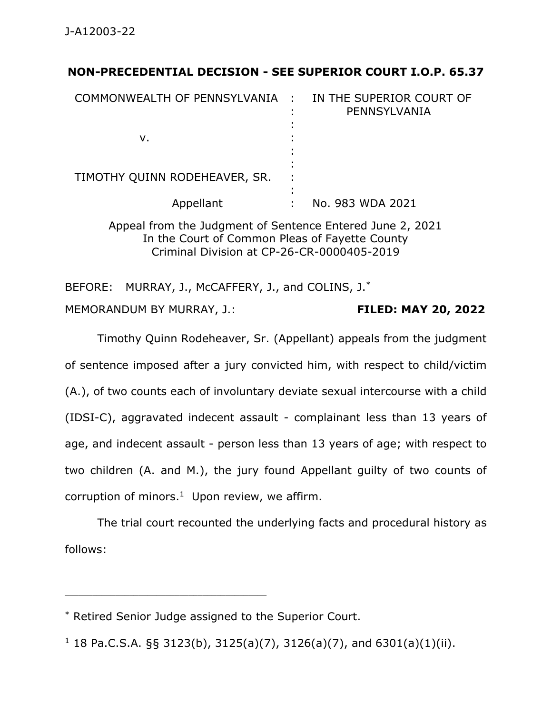## **NON-PRECEDENTIAL DECISION - SEE SUPERIOR COURT I.O.P. 65.37**

| COMMONWEALTH OF PENNSYLVANIA : |   | IN THE SUPERIOR COURT OF<br>PENNSYLVANIA |
|--------------------------------|---|------------------------------------------|
| v.                             |   |                                          |
| TIMOTHY QUINN RODEHEAVER, SR.  | ٠ |                                          |
| Appellant                      |   | No. 983 WDA 2021                         |

Appeal from the Judgment of Sentence Entered June 2, 2021 In the Court of Common Pleas of Fayette County Criminal Division at CP-26-CR-0000405-2019

BEFORE: MURRAY, J., McCAFFERY, J., and COLINS, J.<sup>\*</sup>

MEMORANDUM BY MURRAY, J.: **FILED: MAY 20, 2022**

Timothy Quinn Rodeheaver, Sr. (Appellant) appeals from the judgment of sentence imposed after a jury convicted him, with respect to child/victim (A.), of two counts each of involuntary deviate sexual intercourse with a child (IDSI-C), aggravated indecent assault - complainant less than 13 years of age, and indecent assault - person less than 13 years of age; with respect to two children (A. and M.), the jury found Appellant guilty of two counts of corruption of minors. $1$  Upon review, we affirm.

The trial court recounted the underlying facts and procedural history as follows:

\_\_\_\_\_\_\_\_\_\_\_\_\_\_\_\_\_\_\_\_\_\_\_\_\_\_\_\_\_\_\_\_\_\_\_\_\_\_\_\_\_\_\_\_

<sup>\*</sup> Retired Senior Judge assigned to the Superior Court.

<sup>&</sup>lt;sup>1</sup> 18 Pa.C.S.A. §§ 3123(b), 3125(a)(7), 3126(a)(7), and 6301(a)(1)(ii).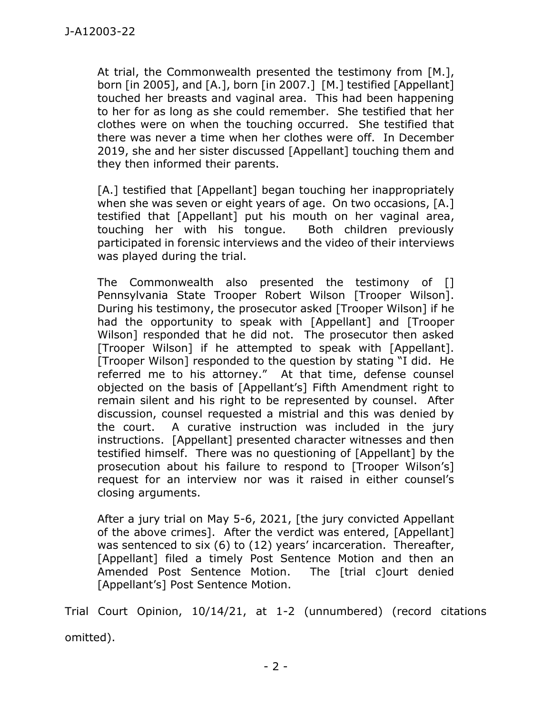At trial, the Commonwealth presented the testimony from [M.], born [in 2005], and [A.], born [in 2007.] [M.] testified [Appellant] touched her breasts and vaginal area. This had been happening to her for as long as she could remember. She testified that her clothes were on when the touching occurred. She testified that there was never a time when her clothes were off. In December 2019, she and her sister discussed [Appellant] touching them and they then informed their parents.

[A.] testified that [Appellant] began touching her inappropriately when she was seven or eight years of age. On two occasions, [A.] testified that [Appellant] put his mouth on her vaginal area, touching her with his tongue. Both children previously participated in forensic interviews and the video of their interviews was played during the trial.

The Commonwealth also presented the testimony of [] Pennsylvania State Trooper Robert Wilson [Trooper Wilson]. During his testimony, the prosecutor asked [Trooper Wilson] if he had the opportunity to speak with [Appellant] and [Trooper Wilson] responded that he did not. The prosecutor then asked [Trooper Wilson] if he attempted to speak with [Appellant]. [Trooper Wilson] responded to the question by stating "I did. He referred me to his attorney." At that time, defense counsel objected on the basis of [Appellant's] Fifth Amendment right to remain silent and his right to be represented by counsel. After discussion, counsel requested a mistrial and this was denied by the court. A curative instruction was included in the jury instructions. [Appellant] presented character witnesses and then testified himself. There was no questioning of [Appellant] by the prosecution about his failure to respond to [Trooper Wilson's] request for an interview nor was it raised in either counsel's closing arguments.

After a jury trial on May 5-6, 2021, [the jury convicted Appellant of the above crimes]. After the verdict was entered, [Appellant] was sentenced to six (6) to (12) years' incarceration. Thereafter, [Appellant] filed a timely Post Sentence Motion and then an Amended Post Sentence Motion. The [trial c]ourt denied [Appellant's] Post Sentence Motion.

Trial Court Opinion, 10/14/21, at 1-2 (unnumbered) (record citations omitted).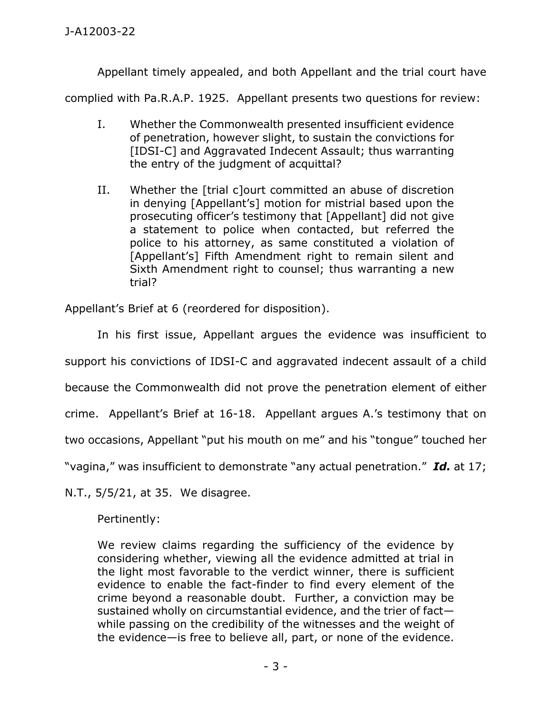Appellant timely appealed, and both Appellant and the trial court have

complied with Pa.R.A.P. 1925. Appellant presents two questions for review:

- I. Whether the Commonwealth presented insufficient evidence of penetration, however slight, to sustain the convictions for [IDSI-C] and Aggravated Indecent Assault; thus warranting the entry of the judgment of acquittal?
- II. Whether the [trial c]ourt committed an abuse of discretion in denying [Appellant's] motion for mistrial based upon the prosecuting officer's testimony that [Appellant] did not give a statement to police when contacted, but referred the police to his attorney, as same constituted a violation of [Appellant's] Fifth Amendment right to remain silent and Sixth Amendment right to counsel; thus warranting a new trial?

Appellant's Brief at 6 (reordered for disposition).

In his first issue, Appellant argues the evidence was insufficient to support his convictions of IDSI-C and aggravated indecent assault of a child because the Commonwealth did not prove the penetration element of either crime. Appellant's Brief at 16-18. Appellant argues A.'s testimony that on two occasions, Appellant "put his mouth on me" and his "tongue" touched her "vagina," was insufficient to demonstrate "any actual penetration." *Id.* at 17;

N.T., 5/5/21, at 35. We disagree.

Pertinently:

We review claims regarding the sufficiency of the evidence by considering whether, viewing all the evidence admitted at trial in the light most favorable to the verdict winner, there is sufficient evidence to enable the fact-finder to find every element of the crime beyond a reasonable doubt. Further, a conviction may be sustained wholly on circumstantial evidence, and the trier of fact while passing on the credibility of the witnesses and the weight of the evidence—is free to believe all, part, or none of the evidence.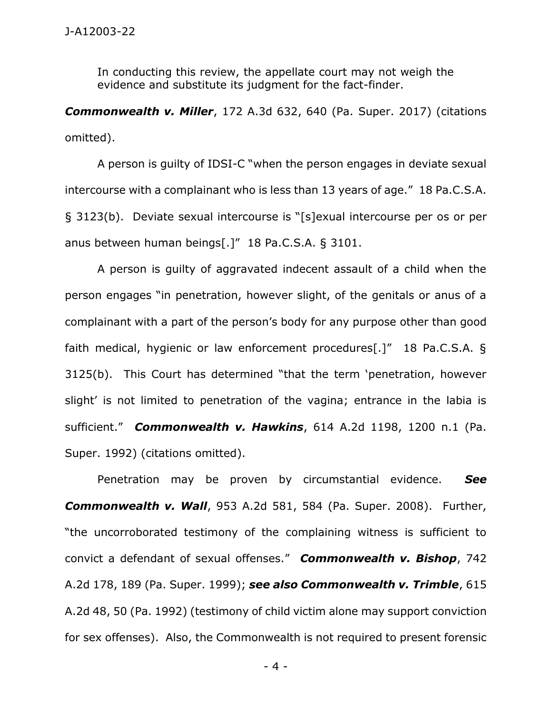In conducting this review, the appellate court may not weigh the evidence and substitute its judgment for the fact-finder.

*Commonwealth v. Miller*, 172 A.3d 632, 640 (Pa. Super. 2017) (citations omitted).

A person is guilty of IDSI-C "when the person engages in deviate sexual intercourse with a complainant who is less than 13 years of age." 18 Pa.C.S.A. § 3123(b). Deviate sexual intercourse is "[s]exual intercourse per os or per anus between human beings[.]" 18 Pa.C.S.A. § 3101.

A person is guilty of aggravated indecent assault of a child when the person engages "in penetration, however slight, of the genitals or anus of a complainant with a part of the person's body for any purpose other than good faith medical, hygienic or law enforcement procedures[.]" 18 Pa.C.S.A. § 3125(b). This Court has determined "that the term 'penetration, however slight' is not limited to penetration of the vagina; entrance in the labia is sufficient." *Commonwealth v. Hawkins*, 614 A.2d 1198, 1200 n.1 (Pa. Super. 1992) (citations omitted).

Penetration may be proven by circumstantial evidence. *See Commonwealth v. Wall*, 953 A.2d 581, 584 (Pa. Super. 2008). Further, "the uncorroborated testimony of the complaining witness is sufficient to convict a defendant of sexual offenses." *Commonwealth v. Bishop*, 742 A.2d 178, 189 (Pa. Super. 1999); *see also Commonwealth v. Trimble*, 615 A.2d 48, 50 (Pa. 1992) (testimony of child victim alone may support conviction for sex offenses). Also, the Commonwealth is not required to present forensic

- 4 -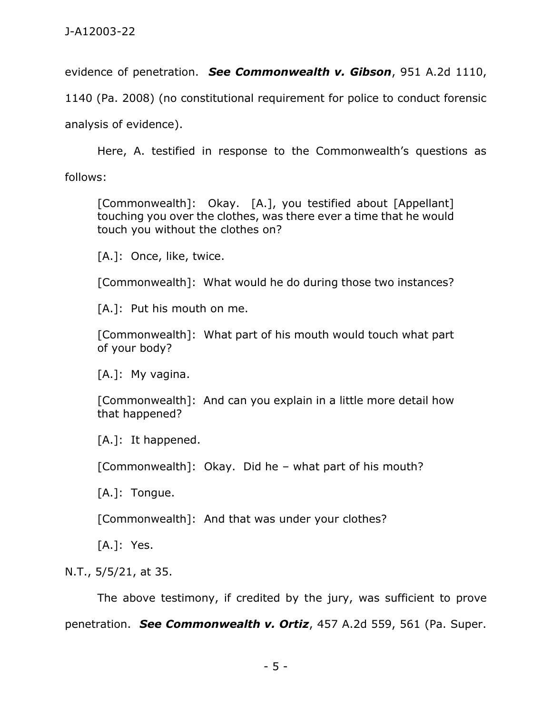evidence of penetration. *See Commonwealth v. Gibson*, 951 A.2d 1110,

1140 (Pa. 2008) (no constitutional requirement for police to conduct forensic

analysis of evidence).

Here, A. testified in response to the Commonwealth's questions as follows:

[Commonwealth]: Okay. [A.], you testified about [Appellant] touching you over the clothes, was there ever a time that he would touch you without the clothes on?

[A.]: Once, like, twice.

[Commonwealth]: What would he do during those two instances?

[A.]: Put his mouth on me.

[Commonwealth]: What part of his mouth would touch what part of your body?

[A.]: My vagina.

[Commonwealth]: And can you explain in a little more detail how that happened?

[A.]: It happened.

[Commonwealth]: Okay. Did he – what part of his mouth?

[A.]: Tongue.

[Commonwealth]: And that was under your clothes?

[A.]: Yes.

N.T., 5/5/21, at 35.

The above testimony, if credited by the jury, was sufficient to prove penetration. *See Commonwealth v. Ortiz*, 457 A.2d 559, 561 (Pa. Super.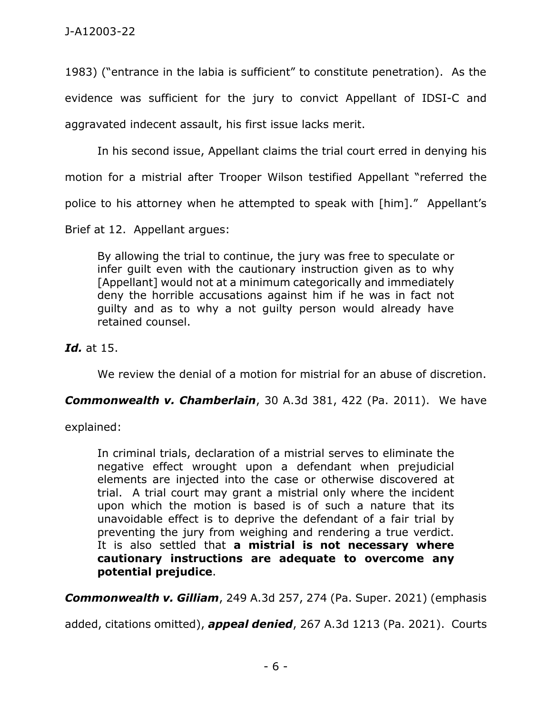1983) ("entrance in the labia is sufficient" to constitute penetration). As the evidence was sufficient for the jury to convict Appellant of IDSI-C and aggravated indecent assault, his first issue lacks merit.

In his second issue, Appellant claims the trial court erred in denying his

motion for a mistrial after Trooper Wilson testified Appellant "referred the

police to his attorney when he attempted to speak with [him]." Appellant's

Brief at 12. Appellant argues:

By allowing the trial to continue, the jury was free to speculate or infer guilt even with the cautionary instruction given as to why [Appellant] would not at a minimum categorically and immediately deny the horrible accusations against him if he was in fact not guilty and as to why a not guilty person would already have retained counsel.

*Id.* at 15.

We review the denial of a motion for mistrial for an abuse of discretion.

## *Commonwealth v. Chamberlain*, 30 A.3d 381, 422 (Pa. 2011). We have

explained:

In criminal trials, declaration of a mistrial serves to eliminate the negative effect wrought upon a defendant when prejudicial elements are injected into the case or otherwise discovered at trial. A trial court may grant a mistrial only where the incident upon which the motion is based is of such a nature that its unavoidable effect is to deprive the defendant of a fair trial by preventing the jury from weighing and rendering a true verdict. It is also settled that **a mistrial is not necessary where cautionary instructions are adequate to overcome any potential prejudice**.

*Commonwealth v. Gilliam*, 249 A.3d 257, 274 (Pa. Super. 2021) (emphasis

added, citations omitted), *appeal denied*, 267 A.3d 1213 (Pa. 2021). Courts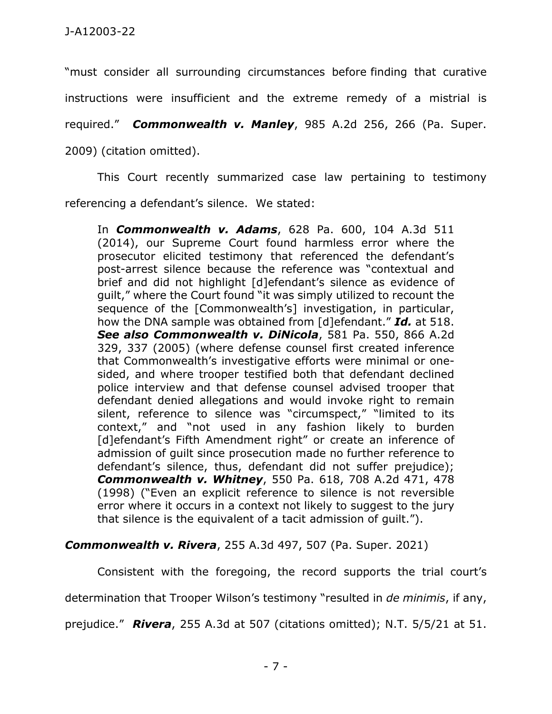"must consider all surrounding circumstances before finding that curative

instructions were insufficient and the extreme remedy of a mistrial is

required." *Commonwealth v. Manley*, 985 A.2d 256, 266 (Pa. Super.

2009) (citation omitted).

This Court recently summarized case law pertaining to testimony referencing a defendant's silence. We stated:

In *Commonwealth v. Adams*, 628 Pa. 600, 104 A.3d 511 (2014), our Supreme Court found harmless error where the prosecutor elicited testimony that referenced the defendant's post-arrest silence because the reference was "contextual and brief and did not highlight [d]efendant's silence as evidence of guilt," where the Court found "it was simply utilized to recount the sequence of the [Commonwealth's] investigation, in particular, how the DNA sample was obtained from [d]efendant." *Id.* at 518. *See also Commonwealth v. DiNicola*, 581 Pa. 550, 866 A.2d 329, 337 (2005) (where defense counsel first created inference that Commonwealth's investigative efforts were minimal or onesided, and where trooper testified both that defendant declined police interview and that defense counsel advised trooper that defendant denied allegations and would invoke right to remain silent, reference to silence was "circumspect," "limited to its context," and "not used in any fashion likely to burden [d]efendant's Fifth Amendment right" or create an inference of admission of guilt since prosecution made no further reference to defendant's silence, thus, defendant did not suffer prejudice); *Commonwealth v. Whitney*, 550 Pa. 618, 708 A.2d 471, 478 (1998) ("Even an explicit reference to silence is not reversible error where it occurs in a context not likely to suggest to the jury that silence is the equivalent of a tacit admission of guilt.").

## *Commonwealth v. Rivera*, 255 A.3d 497, 507 (Pa. Super. 2021)

Consistent with the foregoing, the record supports the trial court's determination that Trooper Wilson's testimony "resulted in *de minimis*, if any, prejudice." *Rivera*, 255 A.3d at 507 (citations omitted); N.T. 5/5/21 at 51.